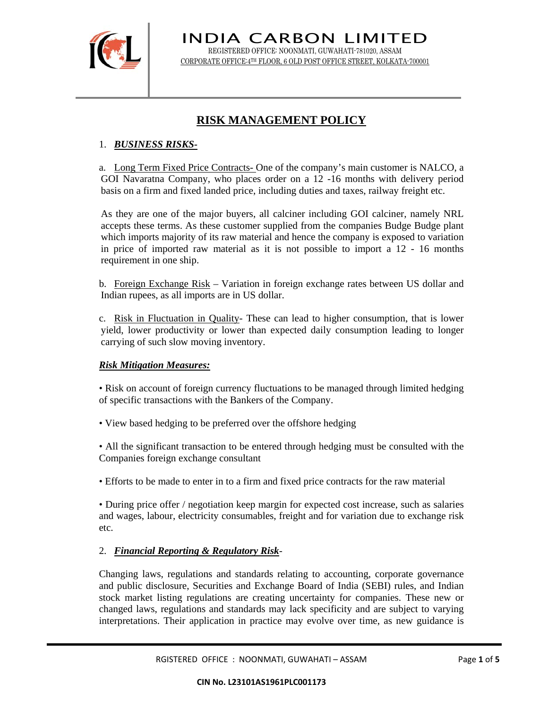

INDIA CARBON LIMITED REGISTERED OFFICE: NOONMATI, GUWAHATI-781020, ASSAM CORPORATE OFFICE:4TH FLOOR, 6 OLD POST OFFICE STREET, KOLKATA-700001

# **RISK MANAGEMENT POLICY**

# 1. *BUSINESS RISKS-*

a. Long Term Fixed Price Contracts- One of the company's main customer is NALCO, a GOI Navaratna Company, who places order on a 12 -16 months with delivery period basis on a firm and fixed landed price, including duties and taxes, railway freight etc.

As they are one of the major buyers, all calciner including GOI calciner, namely NRL accepts these terms. As these customer supplied from the companies Budge Budge plant which imports majority of its raw material and hence the company is exposed to variation in price of imported raw material as it is not possible to import a 12 - 16 months requirement in one ship.

b. Foreign Exchange Risk – Variation in foreign exchange rates between US dollar and Indian rupees, as all imports are in US dollar.

c. Risk in Fluctuation in Quality- These can lead to higher consumption, that is lower yield, lower productivity or lower than expected daily consumption leading to longer carrying of such slow moving inventory.

## *Risk Mitigation Measures:*

• Risk on account of foreign currency fluctuations to be managed through limited hedging of specific transactions with the Bankers of the Company.

• View based hedging to be preferred over the offshore hedging

• All the significant transaction to be entered through hedging must be consulted with the Companies foreign exchange consultant

• Efforts to be made to enter in to a firm and fixed price contracts for the raw material

• During price offer / negotiation keep margin for expected cost increase, such as salaries and wages, labour, electricity consumables, freight and for variation due to exchange risk etc.

## 2. *Financial Reporting & Regulatory Risk*-

Changing laws, regulations and standards relating to accounting, corporate governance and public disclosure, Securities and Exchange Board of India (SEBI) rules, and Indian stock market listing regulations are creating uncertainty for companies. These new or changed laws, regulations and standards may lack specificity and are subject to varying interpretations. Their application in practice may evolve over time, as new guidance is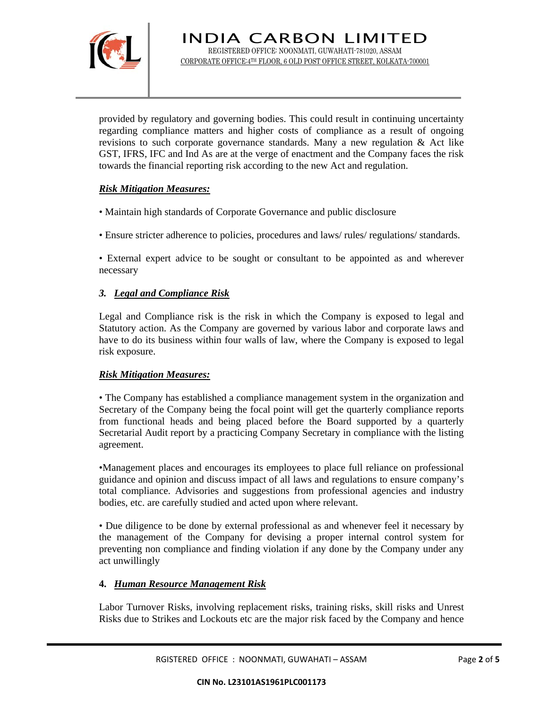

provided by regulatory and governing bodies. This could result in continuing uncertainty regarding compliance matters and higher costs of compliance as a result of ongoing revisions to such corporate governance standards. Many a new regulation & Act like GST, IFRS, IFC and Ind As are at the verge of enactment and the Company faces the risk towards the financial reporting risk according to the new Act and regulation.

## *Risk Mitigation Measures:*

• Maintain high standards of Corporate Governance and public disclosure

• Ensure stricter adherence to policies, procedures and laws/ rules/ regulations/ standards.

• External expert advice to be sought or consultant to be appointed as and wherever necessary

#### *3. Legal and Compliance Risk*

Legal and Compliance risk is the risk in which the Company is exposed to legal and Statutory action. As the Company are governed by various labor and corporate laws and have to do its business within four walls of law, where the Company is exposed to legal risk exposure.

#### *Risk Mitigation Measures:*

• The Company has established a compliance management system in the organization and Secretary of the Company being the focal point will get the quarterly compliance reports from functional heads and being placed before the Board supported by a quarterly Secretarial Audit report by a practicing Company Secretary in compliance with the listing agreement.

•Management places and encourages its employees to place full reliance on professional guidance and opinion and discuss impact of all laws and regulations to ensure company's total compliance. Advisories and suggestions from professional agencies and industry bodies, etc. are carefully studied and acted upon where relevant.

• Due diligence to be done by external professional as and whenever feel it necessary by the management of the Company for devising a proper internal control system for preventing non compliance and finding violation if any done by the Company under any act unwillingly

## **4.** *Human Resource Management Risk*

Labor Turnover Risks, involving replacement risks, training risks, skill risks and Unrest Risks due to Strikes and Lockouts etc are the major risk faced by the Company and hence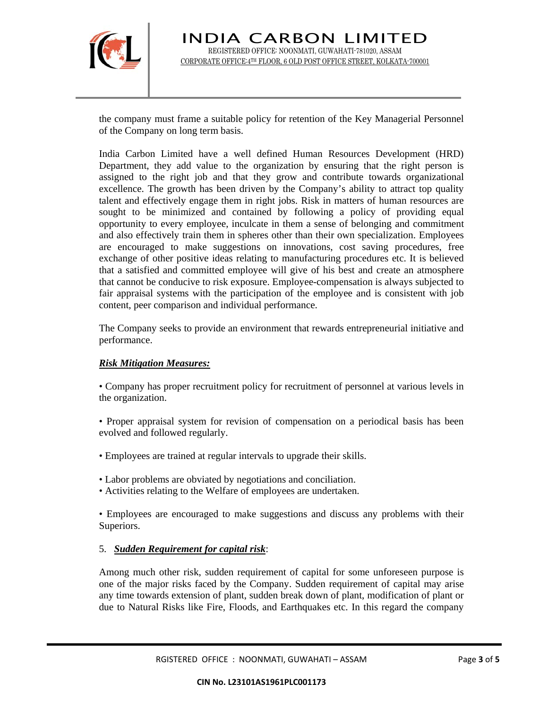

the company must frame a suitable policy for retention of the Key Managerial Personnel of the Company on long term basis.

India Carbon Limited have a well defined Human Resources Development (HRD) Department, they add value to the organization by ensuring that the right person is assigned to the right job and that they grow and contribute towards organizational excellence. The growth has been driven by the Company's ability to attract top quality talent and effectively engage them in right jobs. Risk in matters of human resources are sought to be minimized and contained by following a policy of providing equal opportunity to every employee, inculcate in them a sense of belonging and commitment and also effectively train them in spheres other than their own specialization. Employees are encouraged to make suggestions on innovations, cost saving procedures, free exchange of other positive ideas relating to manufacturing procedures etc. It is believed that a satisfied and committed employee will give of his best and create an atmosphere that cannot be conducive to risk exposure. Employee-compensation is always subjected to fair appraisal systems with the participation of the employee and is consistent with job content, peer comparison and individual performance.

The Company seeks to provide an environment that rewards entrepreneurial initiative and performance.

## *Risk Mitigation Measures:*

• Company has proper recruitment policy for recruitment of personnel at various levels in the organization.

• Proper appraisal system for revision of compensation on a periodical basis has been evolved and followed regularly.

- Employees are trained at regular intervals to upgrade their skills.
- Labor problems are obviated by negotiations and conciliation.
- Activities relating to the Welfare of employees are undertaken.

• Employees are encouraged to make suggestions and discuss any problems with their Superiors.

## 5. *Sudden Requirement for capital risk*:

Among much other risk, sudden requirement of capital for some unforeseen purpose is one of the major risks faced by the Company. Sudden requirement of capital may arise any time towards extension of plant, sudden break down of plant, modification of plant or due to Natural Risks like Fire, Floods, and Earthquakes etc. In this regard the company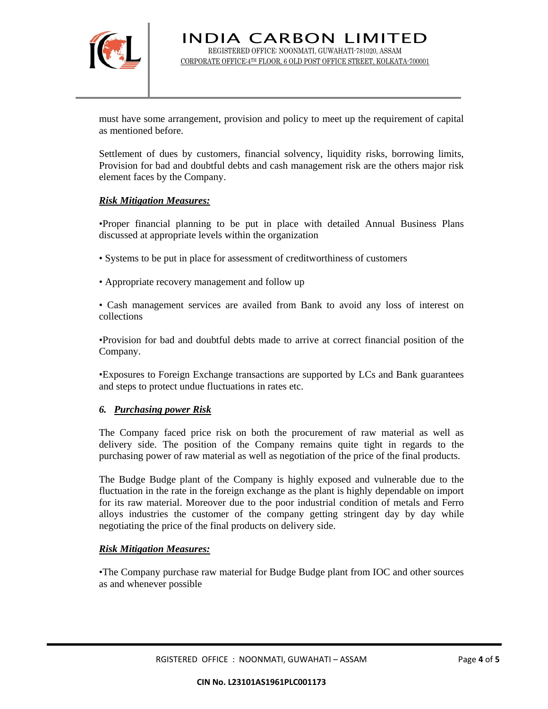

must have some arrangement, provision and policy to meet up the requirement of capital as mentioned before.

Settlement of dues by customers, financial solvency, liquidity risks, borrowing limits, Provision for bad and doubtful debts and cash management risk are the others major risk element faces by the Company.

#### *Risk Mitigation Measures:*

•Proper financial planning to be put in place with detailed Annual Business Plans discussed at appropriate levels within the organization

- Systems to be put in place for assessment of creditworthiness of customers
- Appropriate recovery management and follow up
- Cash management services are availed from Bank to avoid any loss of interest on collections

•Provision for bad and doubtful debts made to arrive at correct financial position of the Company.

•Exposures to Foreign Exchange transactions are supported by LCs and Bank guarantees and steps to protect undue fluctuations in rates etc.

#### *6. Purchasing power Risk*

The Company faced price risk on both the procurement of raw material as well as delivery side. The position of the Company remains quite tight in regards to the purchasing power of raw material as well as negotiation of the price of the final products.

The Budge Budge plant of the Company is highly exposed and vulnerable due to the fluctuation in the rate in the foreign exchange as the plant is highly dependable on import for its raw material. Moreover due to the poor industrial condition of metals and Ferro alloys industries the customer of the company getting stringent day by day while negotiating the price of the final products on delivery side.

#### *Risk Mitigation Measures:*

•The Company purchase raw material for Budge Budge plant from IOC and other sources as and whenever possible